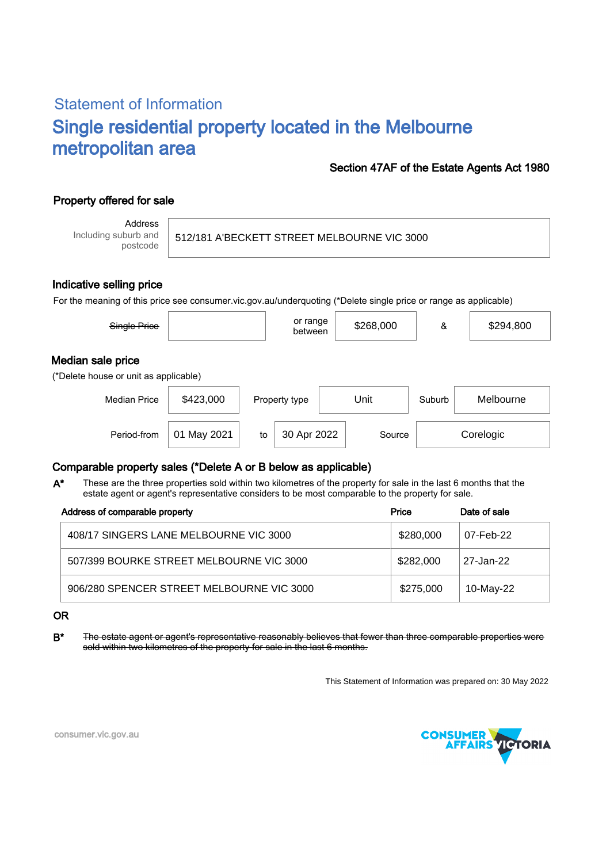# Statement of Information Single residential property located in the Melbourne metropolitan area

### Section 47AF of the Estate Agents Act 1980

## Property offered for sale

Address Including suburb and postcode

512/181 A'BECKETT STREET MELBOURNE VIC 3000

#### Indicative selling price

For the meaning of this price see consumer.vic.gov.au/underquoting (\*Delete single price or range as applicable)

| Single Price                                               |             |    | or range<br>between |      | \$268,000 |        | \$294,800 |
|------------------------------------------------------------|-------------|----|---------------------|------|-----------|--------|-----------|
| Median sale price<br>(*Delete house or unit as applicable) |             |    |                     |      |           |        |           |
| <b>Median Price</b>                                        | \$423,000   |    | Property type       | Unit |           | Suburb | Melbourne |
| Period-from                                                | 01 May 2021 | to | 30 Apr 2022         |      | Source    |        | Corelogic |

## Comparable property sales (\*Delete A or B below as applicable)

These are the three properties sold within two kilometres of the property for sale in the last 6 months that the estate agent or agent's representative considers to be most comparable to the property for sale. A\*

| Address of comparable property            | Price     | Date of sale |
|-------------------------------------------|-----------|--------------|
| 408/17 SINGERS LANE MELBOURNE VIC 3000    | \$280,000 | 07-Feb-22    |
| 507/399 BOURKE STREET MELBOURNE VIC 3000  | \$282,000 | 27-Jan-22    |
| 906/280 SPENCER STREET MELBOURNE VIC 3000 | \$275,000 | 10-May-22    |

#### OR

B<sup>\*</sup> The estate agent or agent's representative reasonably believes that fewer than three comparable properties were sold within two kilometres of the property for sale in the last 6 months.

This Statement of Information was prepared on: 30 May 2022



consumer.vic.gov.au